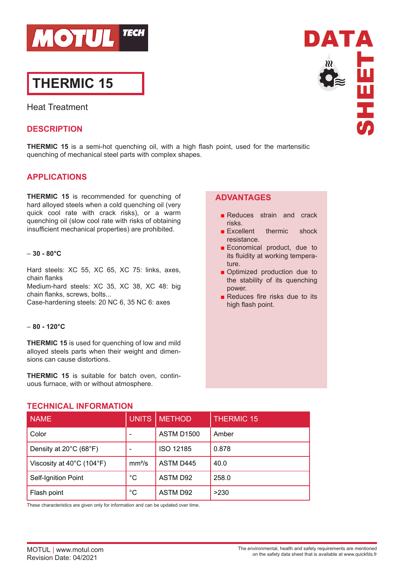

# **THERMIC 15**

Heat Treatment

## **DESCRIPTION**

**THERMIC 15** is a semi-hot quenching oil, with a high flash point, used for the martensitic quenching of mechanical steel parts with complex shapes.

## **APPLICATIONS**

**THERMIC 15** is recommended for quenching of hard alloyed steels when a cold quenching oil (very quick cool rate with crack risks), or a warm quenching oil (slow cool rate with risks of obtaining insufficient mechanical properties) are prohibited.

#### – **30 - 80°C**

Hard steels: XC 55, XC 65, XC 75: links, axes, chain flanks Medium-hard steels: XC 35, XC 38, XC 48: big chain flanks, screws, bolts...

Case-hardening steels: 20 NC 6, 35 NC 6: axes

#### – **80 - 120°C**

**THERMIC 15** is used for quenching of low and mild alloyed steels parts when their weight and dimensions can cause distortions.

**THERMIC 15** is suitable for batch oven, continuous furnace, with or without atmosphere.

### **ADVANTAGES**

- Reduces strain and crack risks.
- Excellent thermic shock resistance.
- Economical product, due to its fluidity at working temperature.
- Optimized production due to the stability of its quenching power.
- Reduces fire risks due to its high flash point.

| <b>NAME</b>               | <b>UNITS</b>       | <b>METHOD</b>    | <b>THERMIC 15</b> |
|---------------------------|--------------------|------------------|-------------------|
| Color                     |                    | ASTM D1500       | Amber             |
| Density at 20°C (68°F)    |                    | <b>ISO 12185</b> | 0.878             |
| Viscosity at 40°C (104°F) | mm <sup>2</sup> /s | ASTM D445        | 40.0              |
| Self-Ignition Point       | $^{\circ}C$        | <b>ASTM D92</b>  | 258.0             |
| Flash point               | $^{\circ}C$        | <b>ASTM D92</b>  | >230              |

## **TECHNICAL INFORMATION**

These characteristics are given only for information and can be updated over time.